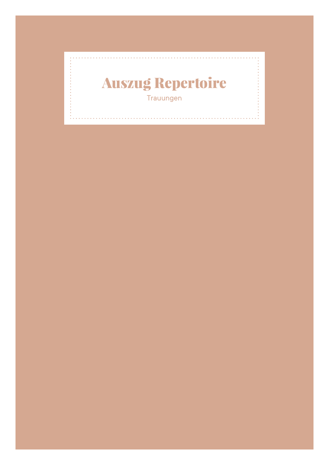## Auszug Repertoire Trauungen